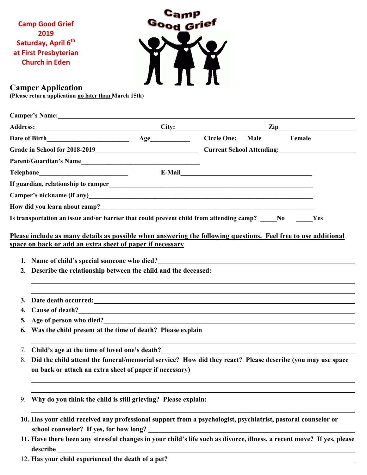**Camp Good Grief 2019 Saturday, April 6th at First Presbyterian Church in Eden**



## **Camper Application**

**(Please return application no later than March 15th)**

|    | Camper's Name: Name:                                                                                                                                                                                                                                                                                                                                                 |  |  |                |  |  |  |  |
|----|----------------------------------------------------------------------------------------------------------------------------------------------------------------------------------------------------------------------------------------------------------------------------------------------------------------------------------------------------------------------|--|--|----------------|--|--|--|--|
|    | Address: City: City:                                                                                                                                                                                                                                                                                                                                                 |  |  | $\mathbf{Zip}$ |  |  |  |  |
|    |                                                                                                                                                                                                                                                                                                                                                                      |  |  |                |  |  |  |  |
|    |                                                                                                                                                                                                                                                                                                                                                                      |  |  |                |  |  |  |  |
|    | Parent/Guardian's Name                                                                                                                                                                                                                                                                                                                                               |  |  |                |  |  |  |  |
|    |                                                                                                                                                                                                                                                                                                                                                                      |  |  |                |  |  |  |  |
|    |                                                                                                                                                                                                                                                                                                                                                                      |  |  |                |  |  |  |  |
|    |                                                                                                                                                                                                                                                                                                                                                                      |  |  |                |  |  |  |  |
|    |                                                                                                                                                                                                                                                                                                                                                                      |  |  |                |  |  |  |  |
|    | Is transportation an issue and/or barrier that could prevent child from attending camp? No New Yes                                                                                                                                                                                                                                                                   |  |  |                |  |  |  |  |
|    | space on back or add an extra sheet of paper if necessary<br>1. Name of child's special someone who died?<br><u>Letting and the contract of the set of the set of the set of the set of the set of the set of the set of the set of the set of the set of the set of the set of the set of the </u><br>Describe the relationship between the child and the deceased: |  |  |                |  |  |  |  |
| 3. | Date death occurred: Note that the set of the set of the set of the set of the set of the set of the set of the set of the set of the set of the set of the set of the set of the set of the set of the set of the set of the                                                                                                                                        |  |  |                |  |  |  |  |
| 4. | Cause of death?<br><u>Cause of death?</u>                                                                                                                                                                                                                                                                                                                            |  |  |                |  |  |  |  |
| 5. | Age of person who died?<br><u>Age of person who died?</u>                                                                                                                                                                                                                                                                                                            |  |  |                |  |  |  |  |
| 6. | Was the child present at the time of death? Please explain                                                                                                                                                                                                                                                                                                           |  |  |                |  |  |  |  |
| 7. | Child's age at the time of loved one's death?<br><u>Letting</u> the state of the control of loved one's death?                                                                                                                                                                                                                                                       |  |  |                |  |  |  |  |
| 8. | Did the child attend the funeral/memorial service? How did they react? Please describe (you may use space                                                                                                                                                                                                                                                            |  |  |                |  |  |  |  |
|    | on back or attach an extra sheet of paper if necessary)                                                                                                                                                                                                                                                                                                              |  |  |                |  |  |  |  |
| 9. | Why do you think the child is still grieving? Please explain:                                                                                                                                                                                                                                                                                                        |  |  |                |  |  |  |  |
|    | 10. Has your child received any professional support from a psychologist, psychiatrist, pastoral counselor or<br>school counselor? If yes, for how long?                                                                                                                                                                                                             |  |  |                |  |  |  |  |
|    | 11. Have there been any stressful changes in your child's life such as divorce, illness, a recent move? If yes, please<br>describe                                                                                                                                                                                                                                   |  |  |                |  |  |  |  |

12. **Has your child experienced the death of a pet?**